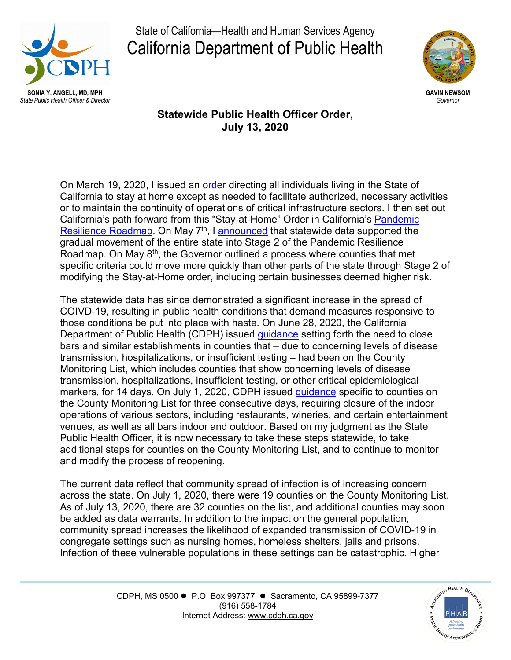

State of California—Health and Human Services Agency California Department of Public Health



**Statewide Public Health Officer Order, July 13, 2020**

On March 19, 2020, I issued an [order](https://covid19.ca.gov/stay-home-except-for-essential-needs/) directing all individuals living in the State of California to stay at home except as needed to facilitate authorized, necessary activities or to maintain the continuity of operations of critical infrastructure sectors. I then set out California's path forward from this "Stay-at-Home" Order in California's Pandemic [Resilience Roadmap.](https://www.gov.ca.gov/wp-content/uploads/2020/04/Update-on-California-Pandemic-Roadmap.pdf) On May 7<sup>th</sup>, I [announced](https://www.cdph.ca.gov/Programs/CID/DCDC/CDPH%20Document%20Library/COVID-19/SHO%20Order%205-7-2020.pdf) that statewide data supported the gradual movement of the entire state into Stage 2 of the Pandemic Resilience Roadmap. On May  $8<sup>th</sup>$ , the Governor outlined a process where counties that met specific criteria could move more quickly than other parts of the state through Stage 2 of modifying the Stay-at-Home order, including certain businesses deemed higher risk.

The statewide data has since demonstrated a significant increase in the spread of COIVD-19, resulting in public health conditions that demand measures responsive to those conditions be put into place with haste. On June 28, 2020, the California Department of Public Health (CDPH) issued [guidance](https://www.cdph.ca.gov/Programs/CID/DCDC/Pages/COVID-19/Bar-Closure-Guidance.aspx) setting forth the need to close bars and similar establishments in counties that – due to concerning levels of disease transmission, hospitalizations, or insufficient testing – had been on the County Monitoring List, which includes counties that show concerning levels of disease transmission, hospitalizations, insufficient testing, or other critical epidemiological markers, for 14 days. On July 1, 2020, CDPH issued [guidance](https://www.cdph.ca.gov/Programs/CID/DCDC/Pages/COVID-19/Guidance-on-Closure-of-Sectors-in-Response-to-COVID-19.aspx) specific to counties on the County Monitoring List for three consecutive days, requiring closure of the indoor operations of various sectors, including restaurants, wineries, and certain entertainment venues, as well as all bars indoor and outdoor. Based on my judgment as the State Public Health Officer, it is now necessary to take these steps statewide, to take additional steps for counties on the County Monitoring List, and to continue to monitor and modify the process of reopening.

The current data reflect that community spread of infection is of increasing concern across the state. On July 1, 2020, there were 19 counties on the County Monitoring List. As of July 13, 2020, there are 32 counties on the list, and additional counties may soon be added as data warrants. In addition to the impact on the general population, community spread increases the likelihood of expanded transmission of COVID-19 in congregate settings such as nursing homes, homeless shelters, jails and prisons. Infection of these vulnerable populations in these settings can be catastrophic. Higher

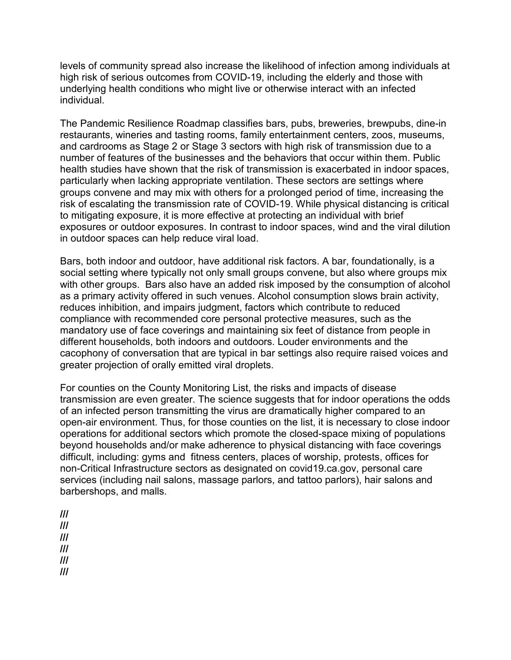levels of community spread also increase the likelihood of infection among individuals at high risk of serious outcomes from COVID-19, including the elderly and those with underlying health conditions who might live or otherwise interact with an infected individual.

The Pandemic Resilience Roadmap classifies bars, pubs, breweries, brewpubs, dine-in restaurants, wineries and tasting rooms, family entertainment centers, zoos, museums, and cardrooms as Stage 2 or Stage 3 sectors with high risk of transmission due to a number of features of the businesses and the behaviors that occur within them. Public health studies have shown that the risk of transmission is exacerbated in indoor spaces, particularly when lacking appropriate ventilation. These sectors are settings where groups convene and may mix with others for a prolonged period of time, increasing the risk of escalating the transmission rate of COVID-19. While physical distancing is critical to mitigating exposure, it is more effective at protecting an individual with brief exposures or outdoor exposures. In contrast to indoor spaces, wind and the viral dilution in outdoor spaces can help reduce viral load.

Bars, both indoor and outdoor, have additional risk factors. A bar, foundationally, is a social setting where typically not only small groups convene, but also where groups mix with other groups. Bars also have an added risk imposed by the consumption of alcohol as a primary activity offered in such venues. Alcohol consumption slows brain activity, reduces inhibition, and impairs judgment, factors which contribute to reduced compliance with recommended core personal protective measures, such as the mandatory use of face coverings and maintaining six feet of distance from people in different households, both indoors and outdoors. Louder environments and the cacophony of conversation that are typical in bar settings also require raised voices and greater projection of orally emitted viral droplets.

For counties on the County Monitoring List, the risks and impacts of disease transmission are even greater. The science suggests that for indoor operations the odds of an infected person transmitting the virus are dramatically higher compared to an open-air environment. Thus, for those counties on the list, it is necessary to close indoor operations for additional sectors which promote the closed-space mixing of populations beyond households and/or make adherence to physical distancing with face coverings difficult, including: gyms and fitness centers, places of worship, protests, offices for non-Critical Infrastructure sectors as designated on covid19.ca.gov, personal care services (including nail salons, massage parlors, and tattoo parlors), hair salons and barbershops, and malls.

- **///**
- **///**
- **///**
- **///**
- **///**
- **///**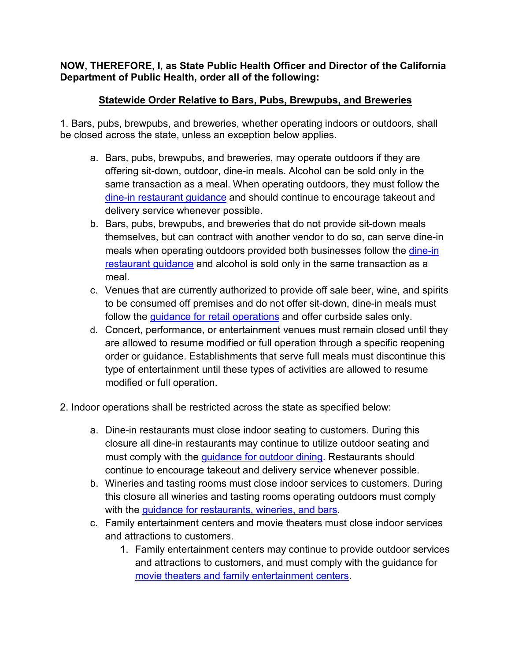## **NOW, THEREFORE, I, as State Public Health Officer and Director of the California Department of Public Health, order all of the following:**

## **Statewide Order Relative to Bars, Pubs, Brewpubs, and Breweries**

1. Bars, pubs, brewpubs, and breweries, whether operating indoors or outdoors, shall be closed across the state, unless an exception below applies.

- a. Bars, pubs, brewpubs, and breweries, may operate outdoors if they are offering sit-down, outdoor, dine-in meals. Alcohol can be sold only in the same transaction as a meal. When operating outdoors, they must follow the [dine-in restaurant guidance](https://covid19.ca.gov/pdf/guidance-dine-in-restaurants.pdf) and should continue to encourage takeout and delivery service whenever possible.
- b. Bars, pubs, brewpubs, and breweries that do not provide sit-down meals themselves, but can contract with another vendor to do so, can serve dine-in meals when operating outdoors provided both businesses follow the dine-in [restaurant guidance](https://covid19.ca.gov/pdf/guidance-dine-in-restaurants.pdf) and alcohol is sold only in the same transaction as a meal.
- c. Venues that are currently authorized to provide off sale beer, wine, and spirits to be consumed off premises and do not offer sit-down, dine-in meals must follow the [guidance for retail operations](https://files.covid19.ca.gov/pdf/guidance-retail.pdf) and offer curbside sales only.
- d. Concert, performance, or entertainment venues must remain closed until they are allowed to resume modified or full operation through a specific reopening order or guidance. Establishments that serve full meals must discontinue this type of entertainment until these types of activities are allowed to resume modified or full operation.
- 2. Indoor operations shall be restricted across the state as specified below:
	- a. Dine-in restaurants must close indoor seating to customers. During this closure all dine-in restaurants may continue to utilize outdoor seating and must comply with the [guidance for outdoor dining.](https://files.covid19.ca.gov/pdf/guidance-outdoor-restaurants.pdf) Restaurants should continue to encourage takeout and delivery service whenever possible.
	- b. Wineries and tasting rooms must close indoor services to customers. During this closure all wineries and tasting rooms operating outdoors must comply with the [guidance for restaurants,](http://covid19.ca.gov/pdf/guidance-restaurants-bars.pdf) wineries, and bars.
	- c. Family entertainment centers and movie theaters must close indoor services and attractions to customers.
		- 1. Family entertainment centers may continue to provide outdoor services and attractions to customers, and must comply with the guidance for [movie theaters and family entertainment centers.](http://covid19.ca.gov/pdf/guidance-family-entertainment.pdf)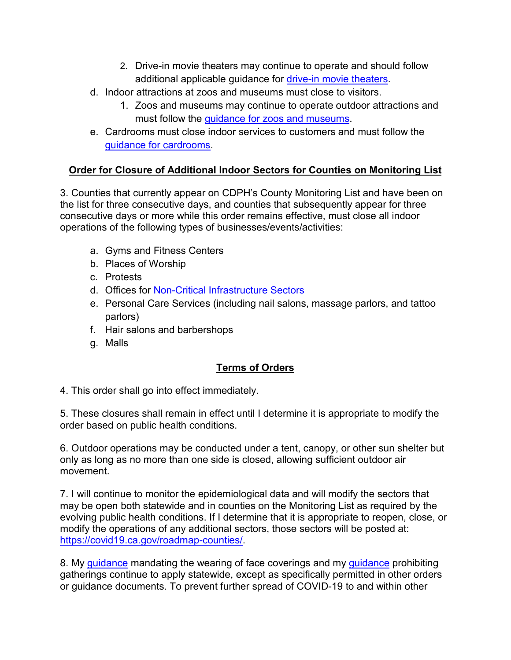- 2. Drive-in movie theaters may continue to operate and should follow additional applicable quidance for [drive-in movie theaters.](https://files.covid19.ca.gov/pdf/guidance-family-entertainment.pdf)
- d. Indoor attractions at zoos and museums must close to visitors.
	- 1. Zoos and museums may continue to operate outdoor attractions and must follow the *guidance for zoos and museums*.
- e. Cardrooms must close indoor services to customers and must follow the [guidance for](https://covid19.ca.gov/pdf/guidance-cardrooms-racetracks.pdf) cardrooms.

## **Order for Closure of Additional Indoor Sectors for Counties on Monitoring List**

3. Counties that currently appear on CDPH's County Monitoring List and have been on the list for three consecutive days, and counties that subsequently appear for three consecutive days or more while this order remains effective, must close all indoor operations of the following types of businesses/events/activities:

- a. Gyms and Fitness Centers
- b. Places of Worship
- c. Protests
- d. Offices for [Non-Critical Infrastructure Sectors](https://covid19.ca.gov/essential-workforce/)
- e. Personal Care Services (including nail salons, massage parlors, and tattoo parlors)
- f. Hair salons and barbershops
- g. Malls

## **Terms of Orders**

4. This order shall go into effect immediately.

5. These closures shall remain in effect until I determine it is appropriate to modify the order based on public health conditions.

6. Outdoor operations may be conducted under a tent, canopy, or other sun shelter but only as long as no more than one side is closed, allowing sufficient outdoor air movement.

7. I will continue to monitor the epidemiological data and will modify the sectors that may be open both statewide and in counties on the Monitoring List as required by the evolving public health conditions. If I determine that it is appropriate to reopen, close, or modify the operations of any additional sectors, those sectors will be posted at: [https://covid19.ca.gov/roadmap-counties/.](https://covid19.ca.gov/roadmap-counties/)

8. My *guidance* mandating the wearing of face coverings and my *guidance* prohibiting gatherings continue to apply statewide, except as specifically permitted in other orders or guidance documents. To prevent further spread of COVID-19 to and within other